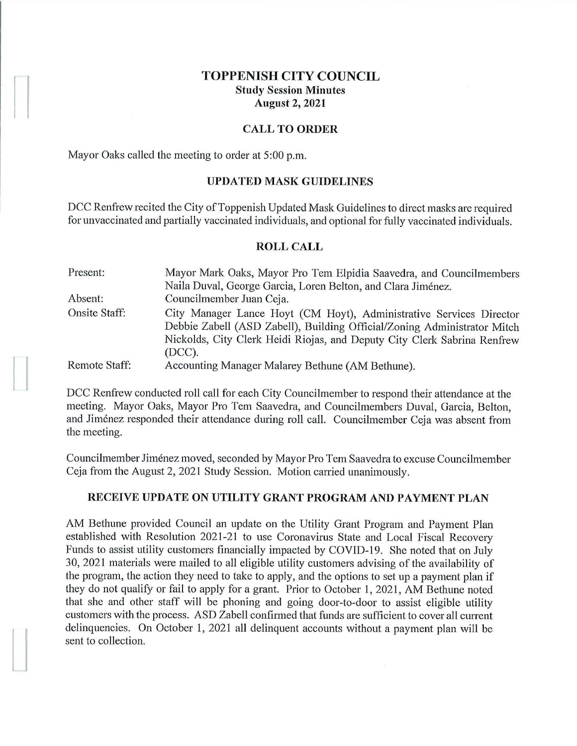# **TOPPENISH CITY COUNCIL Study Session Minutes August 2, 2021**

### **CALL TO ORDER**

Mayor Oaks called the meeting to order at 5:00 p.m.

 $\begin{bmatrix} \phantom{-} \\ \phantom{-} \end{bmatrix}$ 

#### **UPDATED MASK GUIDELINES**

DCC Renfrew recited the City of Toppenish Updated Mask Guidelines to direct masks are required for unvaccinated and partially vaccinated individuals, and optional for fully vaccinated individuals.

#### **ROLL CALL**

| Present:             | Mayor Mark Oaks, Mayor Pro Tem Elpidia Saavedra, and Councilmembers      |
|----------------------|--------------------------------------------------------------------------|
|                      | Naila Duval, George Garcia, Loren Belton, and Clara Jiménez.             |
| Absent:              | Councilmember Juan Ceja.                                                 |
| <b>Onsite Staff:</b> | City Manager Lance Hoyt (CM Hoyt), Administrative Services Director      |
|                      | Debbie Zabell (ASD Zabell), Building Official/Zoning Administrator Mitch |
|                      | Nickolds, City Clerk Heidi Riojas, and Deputy City Clerk Sabrina Renfrew |
|                      | $(DCC)$ .                                                                |
| Remote Staff:        | Accounting Manager Malarey Bethune (AM Bethune).                         |

DCC Renfrew conducted roll call for each City Councilmember to respond their attendance at the meeting. Mayor Oaks, Mayor Pro Tem Saavedra, and Councilmembers Duval, Garcia, Belton, and Jimenez responded their attendance during roll call. Councilmember Ceja was absent from the meeting.

Councilmember Jimenez moved, seconded by Mayor Pro Tern Saavedra to excuse Councihnember Ceja from the August 2, 2021 Study Session. Motion carried unanimously.

### **RECEIVE UPDATE ON UTILITY GRANT PROGRAM AND PAYMENT PLAN**

AM Bethune provided Council an update on the Utility Grant Program and Payment Plan established with Resolution 2021-21 to use Coronavirus State and Local Fiscal Recovery Funds to assist utility customers financially impacted by COVID-19. She noted that on July 30, 2021 materials were mailed to all eligible utility customers advising of the availability of the program, the action they need to take to apply, and the options to set up a payment plan if they do not qualify or fail to apply for a grant. Prior to October 1, 2021, AM Bethune noted that she and other staff will be phoning and going door-to-door to assist eligible utility customers with the process. ASD Zabell confirmed that funds are sufficient to cover all current delinquencies. On October 1, 2021 all delinquent accounts without a payment plan will be sent to collection.